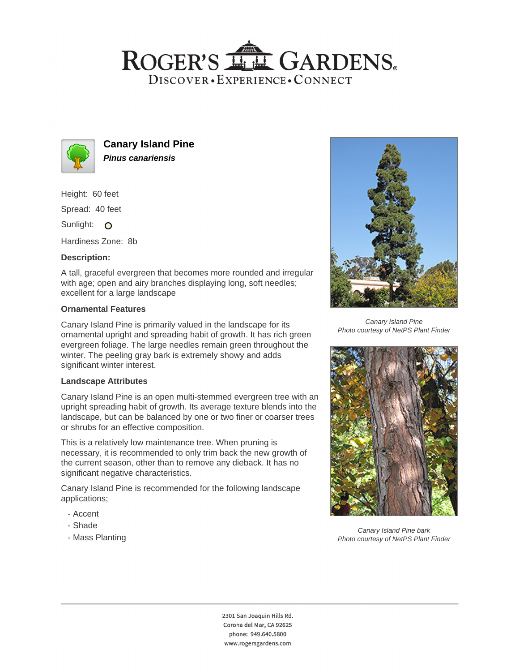# ROGER'S LL GARDENS. DISCOVER · EXPERIENCE · CONNECT



**Canary Island Pine Pinus canariensis**

Height: 60 feet

Spread: 40 feet

Sunlight: O

Hardiness Zone: 8b

### **Description:**

A tall, graceful evergreen that becomes more rounded and irregular with age; open and airy branches displaying long, soft needles; excellent for a large landscape

#### **Ornamental Features**

Canary Island Pine is primarily valued in the landscape for its ornamental upright and spreading habit of growth. It has rich green evergreen foliage. The large needles remain green throughout the winter. The peeling gray bark is extremely showy and adds significant winter interest.

#### **Landscape Attributes**

Canary Island Pine is an open multi-stemmed evergreen tree with an upright spreading habit of growth. Its average texture blends into the landscape, but can be balanced by one or two finer or coarser trees or shrubs for an effective composition.

This is a relatively low maintenance tree. When pruning is necessary, it is recommended to only trim back the new growth of the current season, other than to remove any dieback. It has no significant negative characteristics.

Canary Island Pine is recommended for the following landscape applications;

- Accent
- Shade
- Mass Planting



Canary Island Pine Photo courtesy of NetPS Plant Finder



Canary Island Pine bark Photo courtesy of NetPS Plant Finder

2301 San Joaquin Hills Rd. Corona del Mar, CA 92625 phone: 949.640.5800 www.rogersgardens.com